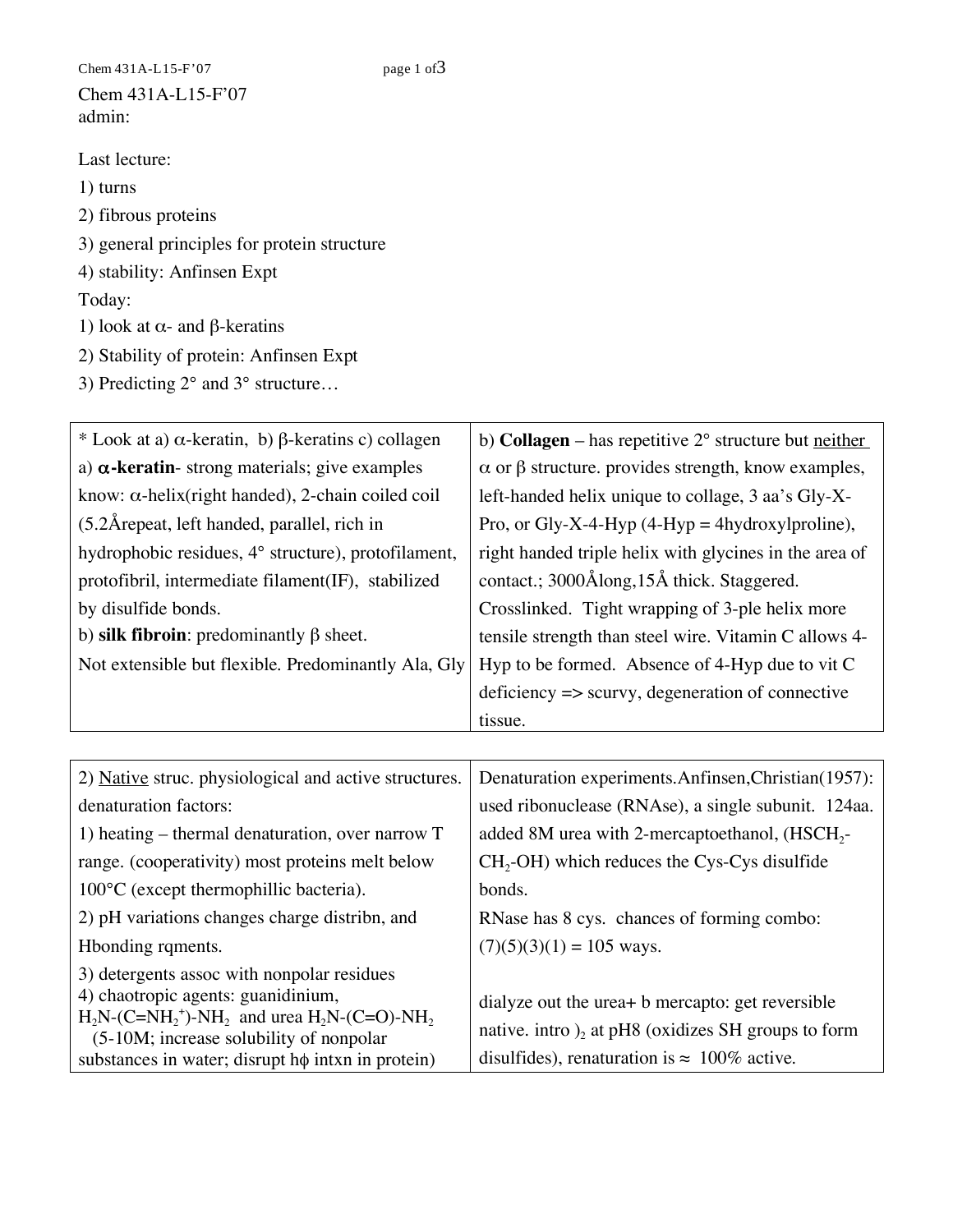Chem  $431A-L15-F'07$  page 1 of 3 Chem 431A-L15-F'07 admin:

- Last lecture:
- 1) turns
- 2) fibrous proteins
- 3) general principles for protein structure
- 4) stability: Anfinsen Expt

Today:

- 1) look at  $\alpha$  and  $\beta$ -keratins
- 2) Stability of protein: Anfinsen Expt
- 3) Predicting 2° and 3° structure…

| * Look at a) $\alpha$ -keratin, b) $\beta$ -keratins c) collagen | b) <b>Collagen</b> – has repetitive $2^{\circ}$ structure but neither |
|------------------------------------------------------------------|-----------------------------------------------------------------------|
| a) $\alpha$ -keratin-strong materials; give examples             | $\alpha$ or $\beta$ structure. provides strength, know examples,      |
| know: $\alpha$ -helix(right handed), 2-chain coiled coil         | left-handed helix unique to collage, 3 aa's Gly-X-                    |
| (5.2Å repeat, left handed, parallel, rich in                     | Pro, or Gly-X-4-Hyp $(4-Hyp = 4$ hydroxylproline),                    |
| hydrophobic residues, 4° structure), protofilament,              | right handed triple helix with glycines in the area of                |
| protofibril, intermediate filament(IF), stabilized               | contact.; 3000Ålong, 15Å thick. Staggered.                            |
| by disulfide bonds.                                              | Crosslinked. Tight wrapping of 3-ple helix more                       |
| b) silk fibroin: predominantly $\beta$ sheet.                    | tensile strength than steel wire. Vitamin C allows 4-                 |
| Not extensible but flexible. Predominantly Ala, Gly              | Hyp to be formed. Absence of 4-Hyp due to vit C                       |
|                                                                  | $deficiency \Rightarrow \text{scurv}$ , degeneration of connective    |
|                                                                  | tissue.                                                               |
|                                                                  |                                                                       |
| 2) Native struc. physiological and active structures.            |                                                                       |
|                                                                  | Denaturation experiments.Anfinsen,Christian(1957):                    |
| denaturation factors:                                            | used ribonuclease (RNAse), a single subunit. 124aa.                   |
| 1) heating $-$ thermal denaturation, over narrow $T$             | added 8M urea with 2-mercaptoethanol, (HSCH <sub>2</sub> -            |
| range. (cooperativity) most proteins melt below                  | $CH2-OH$ ) which reduces the Cys-Cys disulfide                        |
| 100°C (except thermophillic bacteria).                           | bonds.                                                                |
| 2) pH variations changes charge distribn, and                    | RNase has 8 cys. chances of forming combo:                            |
| Hbonding rqments.                                                | $(7)(5)(3)(1) = 105$ ways.                                            |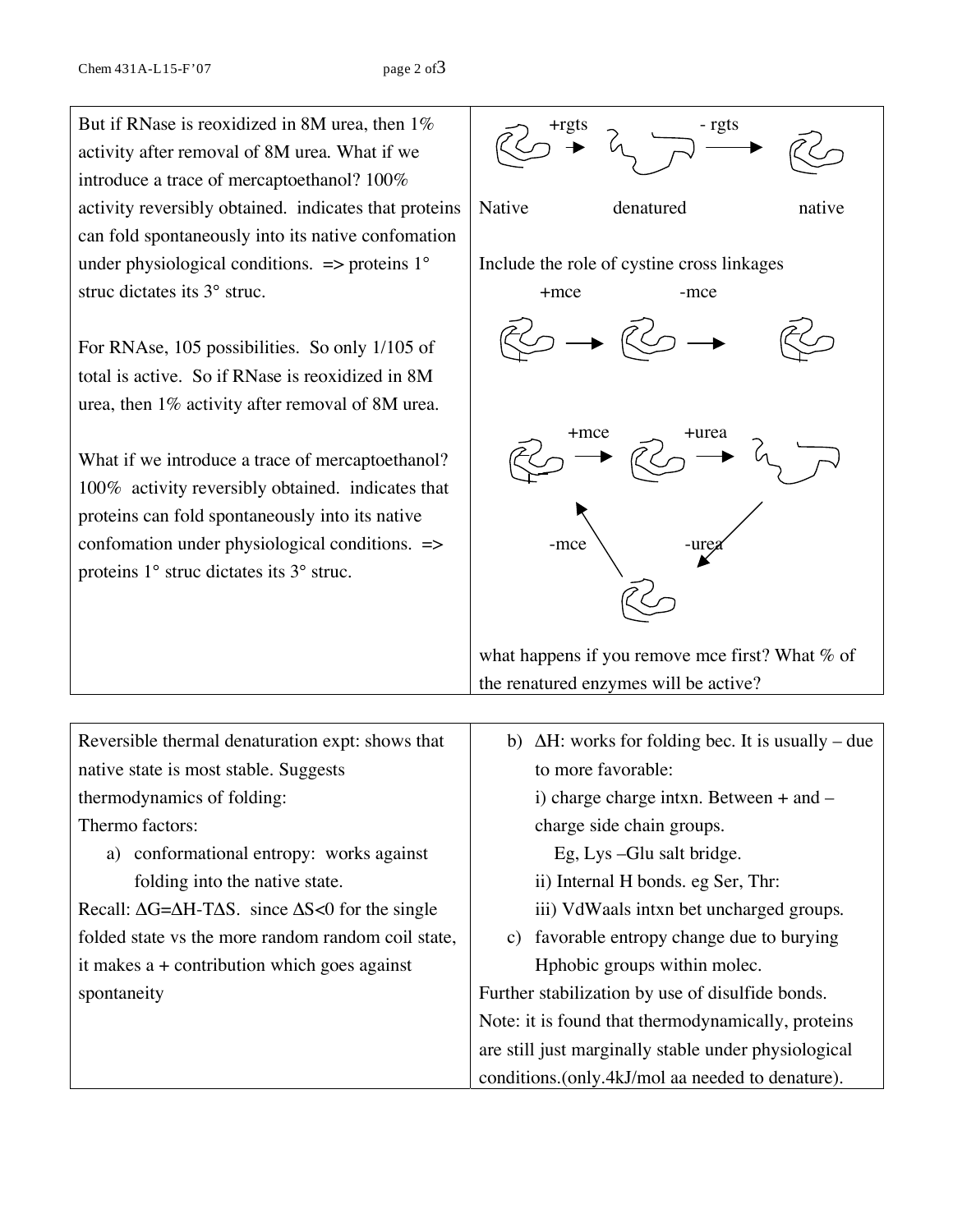But if RNase is reoxidized in 8M urea, then 1% activity after removal of 8M urea. What if we introduce a trace of mercaptoethanol? 100% activity reversibly obtained. indicates that proteins can fold spontaneously into its native confomation under physiological conditions.  $\Rightarrow$  proteins 1° struc dictates its 3° struc.

For RNAse, 105 possibilities. So only 1/105 of total is active. So if RNase is reoxidized in 8M urea, then 1% activity after removal of 8M urea.

What if we introduce a trace of mercaptoethanol? 100% activity reversibly obtained. indicates that proteins can fold spontaneously into its native confomation under physiological conditions. => proteins 1° struc dictates its 3° struc.



what happens if you remove mce first? What  $%$  of the renatured enzymes will be active?

| Reversible thermal denaturation expt: shows that                                 | $\Delta H$ : works for folding bec. It is usually – due<br>b) |
|----------------------------------------------------------------------------------|---------------------------------------------------------------|
| native state is most stable. Suggests                                            | to more favorable:                                            |
| thermodynamics of folding:                                                       | i) charge charge intxn. Between $+$ and $-$                   |
| Thermo factors:                                                                  | charge side chain groups.                                     |
| a) conformational entropy: works against                                         | Eg, Lys - Glu salt bridge.                                    |
| folding into the native state.                                                   | ii) Internal H bonds. eg Ser, Thr:                            |
| Recall: $\Delta G = \Delta H - T \Delta S$ . since $\Delta S < 0$ for the single | iii) VdWaals intxn bet uncharged groups.                      |
| folded state vs the more random random coil state,                               | c) favorable entropy change due to burying                    |
| it makes $a +$ contribution which goes against                                   | Hphobic groups within molec.                                  |
| spontaneity                                                                      | Further stabilization by use of disulfide bonds.              |
|                                                                                  | Note: it is found that thermodynamically, proteins            |
|                                                                                  | are still just marginally stable under physiological          |
|                                                                                  | conditions. (only.4kJ/mol aa needed to denature).             |